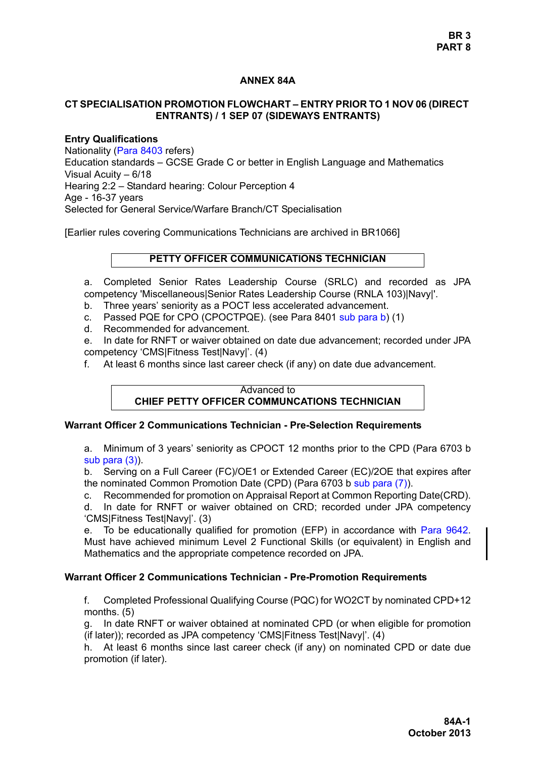## **ANNEX 84A**

## **CT SPECIALISATION PROMOTION FLOWCHART – ENTRY PRIOR TO 1 NOV 06 (DIRECT ENTRANTS) / 1 SEP 07 (SIDEWAYS ENTRANTS)**

## **Entry Qualifications**

Nationality (Para 8403 refers) Education standards – GCSE Grade C or better in English Language and Mathematics Visual Acuity – 6/18 Hearing 2:2 – Standard hearing: Colour Perception 4 Age - 16-37 years Selected for General Service/Warfare Branch/CT Specialisation

[Earlier rules covering Communications Technicians are archived in BR1066]

# **PETTY OFFICER COMMUNICATIONS TECHNICIAN**

a. Completed Senior Rates Leadership Course (SRLC) and recorded as JPA competency 'Miscellaneous|Senior Rates Leadership Course (RNLA 103)|Navy|'.

- b. Three years' seniority as a POCT less accelerated advancement.
- c. Passed PQE for CPO (CPOCTPQE). (see Para 8401 sub para b) (1)
- d. Recommended for advancement.

e. In date for RNFT or waiver obtained on date due advancement; recorded under JPA competency 'CMS|Fitness Test|Navy|'. (4)

f. At least 6 months since last career check (if any) on date due advancement.

## Advanced to **CHIEF PETTY OFFICER COMMUNCATIONS TECHNICIAN**

#### **Warrant Officer 2 Communications Technician - Pre-Selection Requirements**

a. Minimum of 3 years' seniority as CPOCT 12 months prior to the CPD (Para 6703 b sub para (3)).

b. Serving on a Full Career (FC)/OE1 or Extended Career (EC)/2OE that expires after the nominated Common Promotion Date (CPD) (Para 6703 b sub para (7)).

c. Recommended for promotion on Appraisal Report at Common Reporting Date(CRD). d. In date for RNFT or waiver obtained on CRD; recorded under JPA competency 'CMS|Fitness Test|Navy|'. (3)

e. To be educationally qualified for promotion (EFP) in accordance with [Para 9642.](#page-35-0) Must have achieved minimum Level 2 Functional Skills (or equivalent) in English and Mathematics and the appropriate competence recorded on JPA.

# **Warrant Officer 2 Communications Technician - Pre-Promotion Requirements**

f. Completed Professional Qualifying Course (PQC) for WO2CT by nominated CPD+12 months. (5)

g. In date RNFT or waiver obtained at nominated CPD (or when eligible for promotion (if later)); recorded as JPA competency 'CMS|Fitness Test|Navy|'. (4)

h. At least 6 months since last career check (if any) on nominated CPD or date due promotion (if later).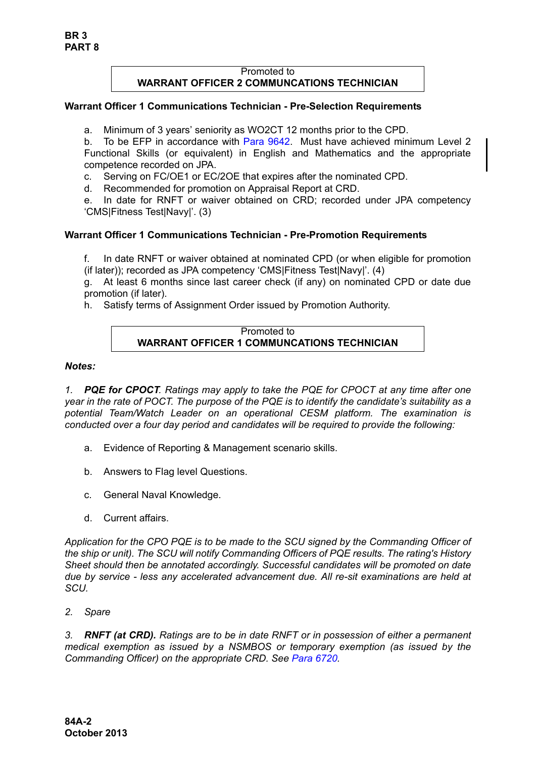## Promoted to **WARRANT OFFICER 2 COMMUNCATIONS TECHNICIAN**

### **Warrant Officer 1 Communications Technician - Pre-Selection Requirements**

a. Minimum of 3 years' seniority as WO2CT 12 months prior to the CPD.

b. To be EFP in accordance with [Para 9642.](#page-35-0) Must have achieved minimum Level 2 Functional Skills (or equivalent) in English and Mathematics and the appropriate competence recorded on JPA.

- c. Serving on FC/OE1 or EC/2OE that expires after the nominated CPD.
- d. Recommended for promotion on Appraisal Report at CRD.

e. In date for RNFT or waiver obtained on CRD; recorded under JPA competency 'CMS|Fitness Test|Navy|'. (3)

# **Warrant Officer 1 Communications Technician - Pre-Promotion Requirements**

f. In date RNFT or waiver obtained at nominated CPD (or when eligible for promotion (if later)); recorded as JPA competency 'CMS|Fitness Test|Navy|'. (4)

g. At least 6 months since last career check (if any) on nominated CPD or date due promotion (if later).

h. Satisfy terms of Assignment Order issued by Promotion Authority.

#### Promoted to **WARRANT OFFICER 1 COMMUNCATIONS TECHNICIAN**

#### *Notes:*

*1. PQE for CPOCT. Ratings may apply to take the PQE for CPOCT at any time after one year in the rate of POCT. The purpose of the PQE is to identify the candidate's suitability as a potential Team/Watch Leader on an operational CESM platform. The examination is conducted over a four day period and candidates will be required to provide the following:*

- a. Evidence of Reporting & Management scenario skills.
- b. Answers to Flag level Questions.
- c. General Naval Knowledge.
- d. Current affairs.

*Application for the CPO PQE is to be made to the SCU signed by the Commanding Officer of the ship or unit). The SCU will notify Commanding Officers of PQE results. The rating's History Sheet should then be annotated accordingly. Successful candidates will be promoted on date due by service - less any accelerated advancement due. All re-sit examinations are held at SCU.*

*2. Spare*

*3. RNFT (at CRD). Ratings are to be in date RNFT or in possession of either a permanent medical exemption as issued by a NSMBOS or temporary exemption (as issued by the Commanding Officer) on the appropriate CRD. See Para 6720.*